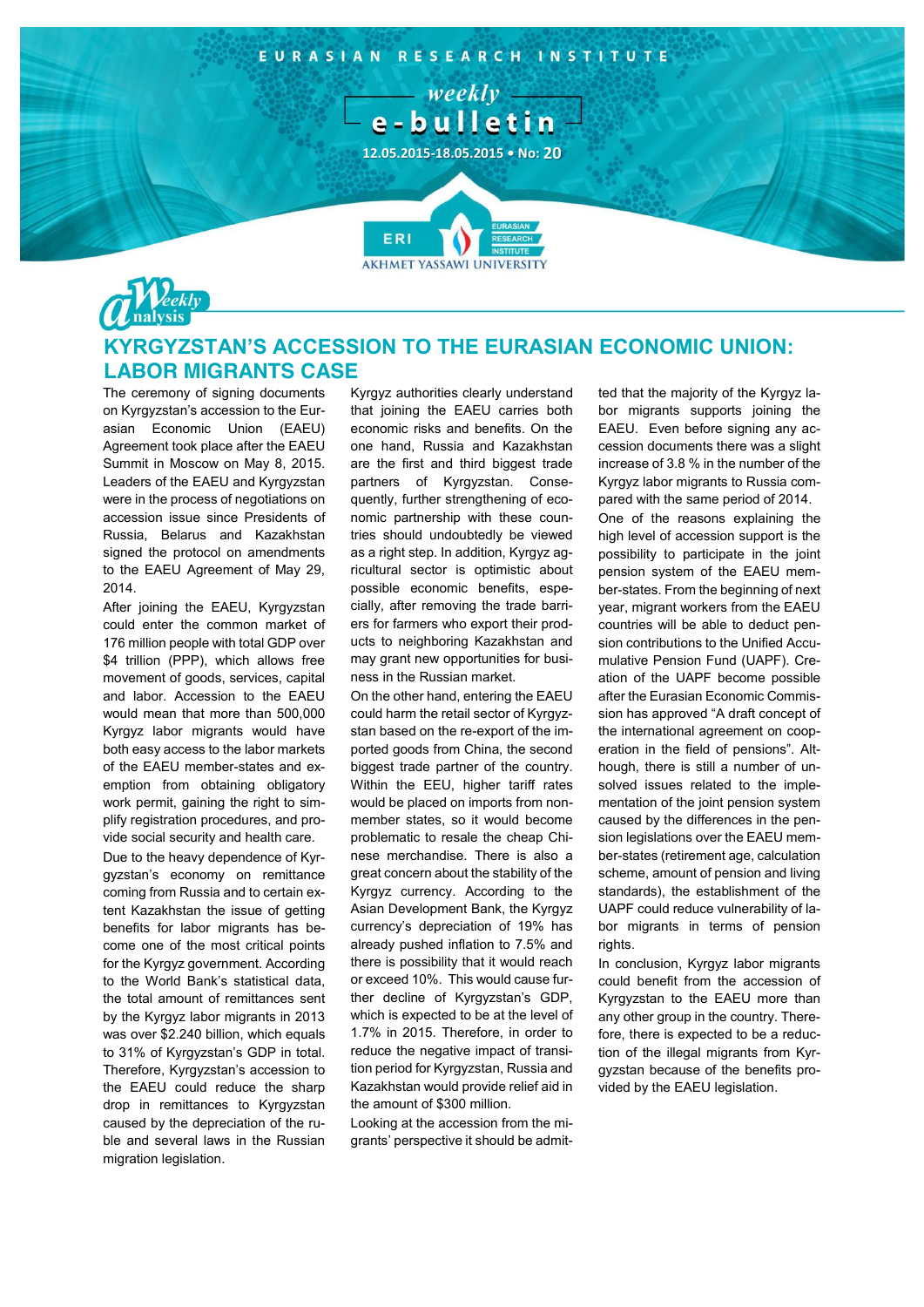



## **KYRGYZSTAN'S ACCESSION TO THE EURASIAN ECONOMIC UNION: LABOR MIGRANTS CASE**

The ceremony of signing documents on Kyrgyzstan's accession to the Eurasian Economic Union (EAEU) Agreement took place after the EAEU Summit in Moscow on May 8, 2015. Leaders of the EAEU and Kyrgyzstan were in the process of negotiations on accession issue since Presidents of Russia, Belarus and Kazakhstan signed the protocol on amendments to the EAEU Agreement of May 29, 2014.

After joining the EAEU, Kyrgyzstan could enter the common market of 176 million people with total GDP over \$4 trillion (PPP), which allows free movement of goods, services, capital and labor. Accession to the EAEU would mean that more than 500,000 Kyrgyz labor migrants would have both easy access to the labor markets of the EAEU member-states and exemption from obtaining obligatory work permit, gaining the right to simplify registration procedures, and provide social security and health care.

Due to the heavy dependence of Kyrgyzstan's economy on remittance coming from Russia and to certain extent Kazakhstan the issue of getting benefits for labor migrants has become one of the most critical points for the Kyrgyz government. According to the World Bank's statistical data, the total amount of remittances sent by the Kyrgyz labor migrants in 2013 was over \$2.240 billion, which equals to 31% of Kyrgyzstan's GDP in total. Therefore, Kyrgyzstan's accession to the EAEU could reduce the sharp drop in remittances to Kyrgyzstan caused by the depreciation of the ruble and several laws in the Russian migration legislation.

Kyrgyz authorities clearly understand that joining the EAEU carries both economic risks and benefits. On the one hand, Russia and Kazakhstan are the first and third biggest trade partners of Kyrgyzstan. Consequently, further strengthening of economic partnership with these countries should undoubtedly be viewed as a right step. In addition, Kyrgyz agricultural sector is optimistic about possible economic benefits, especially, after removing the trade barriers for farmers who export their products to neighboring Kazakhstan and may grant new opportunities for business in the Russian market.

On the other hand, entering the EAEU could harm the retail sector of Kyrgyzstan based on the re-export of the imported goods from China, the second biggest trade partner of the country. Within the EEU, higher tariff rates would be placed on imports from nonmember states, so it would become problematic to resale the cheap Chinese merchandise. There is also a great concern about the stability of the Kyrgyz currency. According to the Asian Development Bank, the Kyrgyz currency's depreciation of 19% has already pushed inflation to 7.5% and there is possibility that it would reach or exceed 10%. This would cause further decline of Kyrgyzstan's GDP, which is expected to be at the level of 1.7% in 2015. Therefore, in order to reduce the negative impact of transition period for Kyrgyzstan, Russia and Kazakhstan would provide relief aid in the amount of \$300 million.

Looking at the accession from the migrants' perspective it should be admitted that the majority of the Kyrgyz labor migrants supports joining the EAEU. Even before signing any accession documents there was a slight increase of 3.8 % in the number of the Kyrgyz labor migrants to Russia compared with the same period of 2014.

One of the reasons explaining the high level of accession support is the possibility to participate in the joint pension system of the EAEU member-states. From the beginning of next year, migrant workers from the EAEU countries will be able to deduct pension contributions to the Unified Accumulative Pension Fund (UAPF). Creation of the UAPF become possible after the Eurasian Economic Commission has approved "A draft concept of the international agreement on cooperation in the field of pensions". Although, there is still a number of unsolved issues related to the implementation of the joint pension system caused by the differences in the pension legislations over the EAEU member-states (retirement age, calculation scheme, amount of pension and living standards), the establishment of the UAPF could reduce vulnerability of labor migrants in terms of pension rights.

In conclusion, Kyrgyz labor migrants could benefit from the accession of Kyrgyzstan to the EAEU more than any other group in the country. Therefore, there is expected to be a reduction of the illegal migrants from Kyrgyzstan because of the benefits provided by the EAEU legislation.